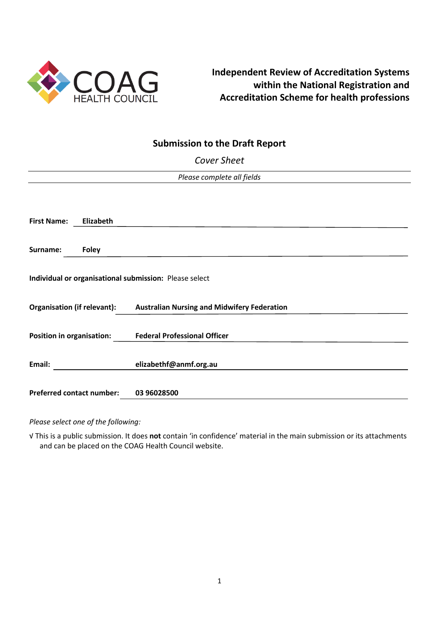

# **Independent Review of Accreditation Systems within the National Registration and Accreditation Scheme for health professions**

# **Submission to the Draft Report**

*Cover Sheet*

| Please complete all fields       |              |                                                                         |
|----------------------------------|--------------|-------------------------------------------------------------------------|
|                                  |              |                                                                         |
|                                  |              |                                                                         |
|                                  |              |                                                                         |
| <b>First Name:</b>               | Elizabeth    |                                                                         |
|                                  |              |                                                                         |
| Surname:                         | <b>Foley</b> |                                                                         |
|                                  |              |                                                                         |
|                                  |              |                                                                         |
|                                  |              | Individual or organisational submission: Please select                  |
|                                  |              |                                                                         |
|                                  |              | Organisation (if relevant): Australian Nursing and Midwifery Federation |
|                                  |              |                                                                         |
| <b>Position in organisation:</b> |              | <b>Federal Professional Officer</b>                                     |
|                                  |              |                                                                         |
|                                  |              |                                                                         |
| Email:                           |              | elizabethf@anmf.org.au                                                  |
|                                  |              |                                                                         |
| <b>Preferred contact number:</b> |              | 03 96028500                                                             |
|                                  |              |                                                                         |

*Please select one of the following:*

√ This is a public submission. It does **not** contain 'in confidence' material in the main submission or its attachments and can be placed on the COAG Health Council website.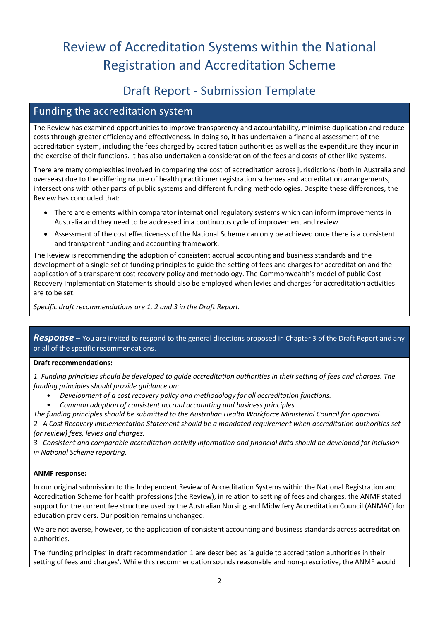# Review of Accreditation Systems within the National Registration and Accreditation Scheme

# Draft Report - Submission Template

# Funding the accreditation system

The Review has examined opportunities to improve transparency and accountability, minimise duplication and reduce costs through greater efficiency and effectiveness. In doing so, it has undertaken a financial assessment of the accreditation system, including the fees charged by accreditation authorities as well as the expenditure they incur in the exercise of their functions. It has also undertaken a consideration of the fees and costs of other like systems.

There are many complexities involved in comparing the cost of accreditation across jurisdictions (both in Australia and overseas) due to the differing nature of health practitioner registration schemes and accreditation arrangements, intersections with other parts of public systems and different funding methodologies. Despite these differences, the Review has concluded that:

- There are elements within comparator international regulatory systems which can inform improvements in Australia and they need to be addressed in a continuous cycle of improvement and review.
- Assessment of the cost effectiveness of the National Scheme can only be achieved once there is a consistent and transparent funding and accounting framework.

The Review is recommending the adoption of consistent accrual accounting and business standards and the development of a single set of funding principles to guide the setting of fees and charges for accreditation and the application of a transparent cost recovery policy and methodology. The Commonwealth's model of public Cost Recovery Implementation Statements should also be employed when levies and charges for accreditation activities are to be set.

*Specific draft recommendations are 1, 2 and 3 in the Draft Report.*

*Response –* You are invited to respond to the general directions proposed in Chapter 3 of the Draft Report and any or all of the specific recommendations.

# **Draft recommendations:**

*1. Funding principles should be developed to guide accreditation authorities in their setting of fees and charges. The funding principles should provide guidance on:*

- *Development of a cost recovery policy and methodology for all accreditation functions.*
- *Common adoption of consistent accrual accounting and business principles.*

*The funding principles should be submitted to the Australian Health Workforce Ministerial Council for approval. 2. A Cost Recovery Implementation Statement should be a mandated requirement when accreditation authorities set (or review) fees, levies and charges.*

*3. Consistent and comparable accreditation activity information and financial data should be developed for inclusion in National Scheme reporting.*

# **ANMF response:**

In our original submission to the Independent Review of Accreditation Systems within the National Registration and Accreditation Scheme for health professions (the Review), in relation to setting of fees and charges, the ANMF stated support for the current fee structure used by the Australian Nursing and Midwifery Accreditation Council (ANMAC) for education providers. Our position remains unchanged.

We are not averse, however, to the application of consistent accounting and business standards across accreditation authorities.

The 'funding principles' in draft recommendation 1 are described as 'a guide to accreditation authorities in their setting of fees and charges'. While this recommendation sounds reasonable and non-prescriptive, the ANMF would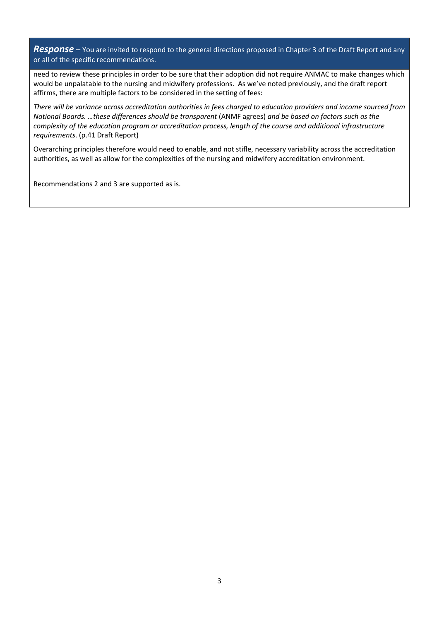*Response –* You are invited to respond to the general directions proposed in Chapter 3 of the Draft Report and any or all of the specific recommendations.

need to review these principles in order to be sure that their adoption did not require ANMAC to make changes which would be unpalatable to the nursing and midwifery professions. As we've noted previously, and the draft report affirms, there are multiple factors to be considered in the setting of fees:

*There will be variance across accreditation authorities in fees charged to education providers and income sourced from National Boards. …these differences should be transparent* (ANMF agrees) *and be based on factors such as the complexity of the education program or accreditation process, length of the course and additional infrastructure requirements*. (p.41 Draft Report)

Overarching principles therefore would need to enable, and not stifle, necessary variability across the accreditation authorities, as well as allow for the complexities of the nursing and midwifery accreditation environment.

Recommendations 2 and 3 are supported as is.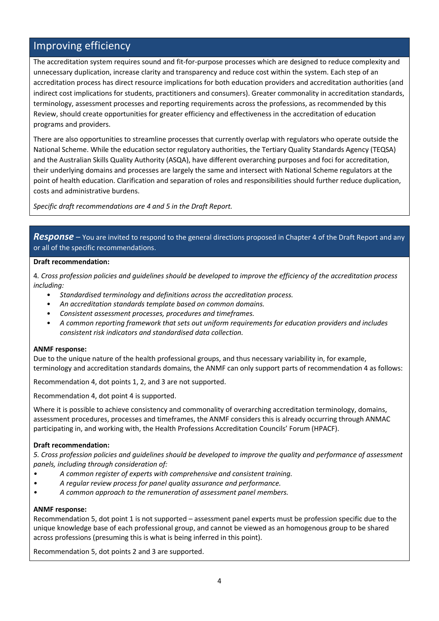# Improving efficiency

The accreditation system requires sound and fit-for-purpose processes which are designed to reduce complexity and unnecessary duplication, increase clarity and transparency and reduce cost within the system. Each step of an accreditation process has direct resource implications for both education providers and accreditation authorities (and indirect cost implications for students, practitioners and consumers). Greater commonality in accreditation standards, terminology, assessment processes and reporting requirements across the professions, as recommended by this Review, should create opportunities for greater efficiency and effectiveness in the accreditation of education programs and providers.

There are also opportunities to streamline processes that currently overlap with regulators who operate outside the National Scheme. While the education sector regulatory authorities, the Tertiary Quality Standards Agency (TEQSA) and the Australian Skills Quality Authority (ASQA), have different overarching purposes and foci for accreditation, their underlying domains and processes are largely the same and intersect with National Scheme regulators at the point of health education. Clarification and separation of roles and responsibilities should further reduce duplication, costs and administrative burdens.

*Specific draft recommendations are 4 and 5 in the Draft Report.*

*Response –* You are invited to respond to the general directions proposed in Chapter 4 of the Draft Report and any or all of the specific recommendations.

#### **Draft recommendation:**

4*. Cross profession policies and guidelines should be developed to improve the efficiency of the accreditation process including:*

- *Standardised terminology and definitions across the accreditation process.*
- *An accreditation standards template based on common domains.*
- *Consistent assessment processes, procedures and timeframes.*
- *A common reporting framework that sets out uniform requirements for education providers and includes consistent risk indicators and standardised data collection.*

#### **ANMF response:**

Due to the unique nature of the health professional groups, and thus necessary variability in, for example, terminology and accreditation standards domains, the ANMF can only support parts of recommendation 4 as follows:

Recommendation 4, dot points 1, 2, and 3 are not supported.

Recommendation 4, dot point 4 is supported.

Where it is possible to achieve consistency and commonality of overarching accreditation terminology, domains, assessment procedures, processes and timeframes, the ANMF considers this is already occurring through ANMAC participating in, and working with, the Health Professions Accreditation Councils' Forum (HPACF).

#### **Draft recommendation:**

*5. Cross profession policies and guidelines should be developed to improve the quality and performance of assessment panels, including through consideration of:*

- *• A common register of experts with comprehensive and consistent training.*
- *• A regular review process for panel quality assurance and performance.*
- *• A common approach to the remuneration of assessment panel members.*

#### **ANMF response:**

Recommendation 5, dot point 1 is not supported – assessment panel experts must be profession specific due to the unique knowledge base of each professional group, and cannot be viewed as an homogenous group to be shared across professions (presuming this is what is being inferred in this point).

Recommendation 5, dot points 2 and 3 are supported.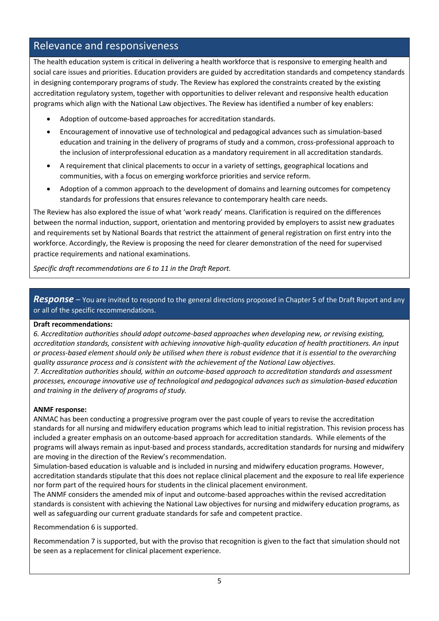# Relevance and responsiveness

The health education system is critical in delivering a health workforce that is responsive to emerging health and social care issues and priorities. Education providers are guided by accreditation standards and competency standards in designing contemporary programs of study. The Review has explored the constraints created by the existing accreditation regulatory system, together with opportunities to deliver relevant and responsive health education programs which align with the National Law objectives. The Review has identified a number of key enablers:

- Adoption of outcome-based approaches for accreditation standards.
- Encouragement of innovative use of technological and pedagogical advances such as simulation-based education and training in the delivery of programs of study and a common, cross-professional approach to the inclusion of interprofessional education as a mandatory requirement in all accreditation standards.
- A requirement that clinical placements to occur in a variety of settings, geographical locations and communities, with a focus on emerging workforce priorities and service reform.
- Adoption of a common approach to the development of domains and learning outcomes for competency standards for professions that ensures relevance to contemporary health care needs.

The Review has also explored the issue of what 'work ready' means. Clarification is required on the differences between the normal induction, support, orientation and mentoring provided by employers to assist new graduates and requirements set by National Boards that restrict the attainment of general registration on first entry into the workforce. Accordingly, the Review is proposing the need for clearer demonstration of the need for supervised practice requirements and national examinations.

*Specific draft recommendations are 6 to 11 in the Draft Report.*

# *Response –* You are invited to respond to the general directions proposed in Chapter 5 of the Draft Report and any or all of the specific recommendations.

#### **Draft recommendations:**

*6. Accreditation authorities should adopt outcome-based approaches when developing new, or revising existing, accreditation standards, consistent with achieving innovative high-quality education of health practitioners. An input or process-based element should only be utilised when there is robust evidence that it is essential to the overarching quality assurance process and is consistent with the achievement of the National Law objectives.* 

*7. Accreditation authorities should, within an outcome-based approach to accreditation standards and assessment processes, encourage innovative use of technological and pedagogical advances such as simulation-based education and training in the delivery of programs of study.*

# **ANMF response:**

ANMAC has been conducting a progressive program over the past couple of years to revise the accreditation standards for all nursing and midwifery education programs which lead to initial registration. This revision process has included a greater emphasis on an outcome-based approach for accreditation standards. While elements of the programs will always remain as input-based and process standards, accreditation standards for nursing and midwifery are moving in the direction of the Review's recommendation.

Simulation-based education is valuable and is included in nursing and midwifery education programs. However, accreditation standards stipulate that this does not replace clinical placement and the exposure to real life experience nor form part of the required hours for students in the clinical placement environment.

The ANMF considers the amended mix of input and outcome-based approaches within the revised accreditation standards is consistent with achieving the National Law objectives for nursing and midwifery education programs, as well as safeguarding our current graduate standards for safe and competent practice.

Recommendation 6 is supported.

Recommendation 7 is supported, but with the proviso that recognition is given to the fact that simulation should not be seen as a replacement for clinical placement experience.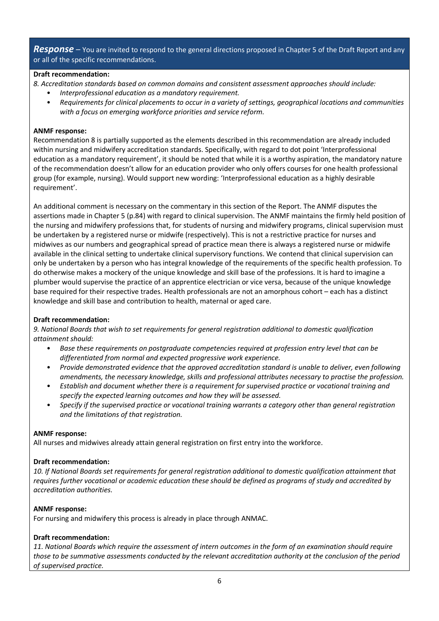*Response –* You are invited to respond to the general directions proposed in Chapter 5 of the Draft Report and any or all of the specific recommendations.

#### **Draft recommendation:**

*8. Accreditation standards based on common domains and consistent assessment approaches should include:*

- *Interprofessional education as a mandatory requirement.*
- *Requirements for clinical placements to occur in a variety of settings, geographical locations and communities with a focus on emerging workforce priorities and service reform.*

#### **ANMF response:**

Recommendation 8 is partially supported as the elements described in this recommendation are already included within nursing and midwifery accreditation standards. Specifically, with regard to dot point 'Interprofessional education as a mandatory requirement', it should be noted that while it is a worthy aspiration, the mandatory nature of the recommendation doesn't allow for an education provider who only offers courses for one health professional group (for example, nursing). Would support new wording: 'Interprofessional education as a highly desirable requirement'.

An additional comment is necessary on the commentary in this section of the Report. The ANMF disputes the assertions made in Chapter 5 (p.84) with regard to clinical supervision. The ANMF maintains the firmly held position of the nursing and midwifery professions that, for students of nursing and midwifery programs, clinical supervision must be undertaken by a registered nurse or midwife (respectively). This is not a restrictive practice for nurses and midwives as our numbers and geographical spread of practice mean there is always a registered nurse or midwife available in the clinical setting to undertake clinical supervisory functions. We contend that clinical supervision can only be undertaken by a person who has integral knowledge of the requirements of the specific health profession. To do otherwise makes a mockery of the unique knowledge and skill base of the professions. It is hard to imagine a plumber would supervise the practice of an apprentice electrician or vice versa, because of the unique knowledge base required for their respective trades. Health professionals are not an amorphous cohort – each has a distinct knowledge and skill base and contribution to health, maternal or aged care.

#### **Draft recommendation:**

*9. National Boards that wish to set requirements for general registration additional to domestic qualification attainment should:*

- *Base these requirements on postgraduate competencies required at profession entry level that can be differentiated from normal and expected progressive work experience.*
- *Provide demonstrated evidence that the approved accreditation standard is unable to deliver, even following amendments, the necessary knowledge, skills and professional attributes necessary to practise the profession.*
- *Establish and document whether there is a requirement for supervised practice or vocational training and specify the expected learning outcomes and how they will be assessed.*
- *Specify if the supervised practice or vocational training warrants a category other than general registration and the limitations of that registration.*

#### **ANMF response:**

All nurses and midwives already attain general registration on first entry into the workforce.

#### **Draft recommendation:**

*10. If National Boards set requirements for general registration additional to domestic qualification attainment that requires further vocational or academic education these should be defined as programs of study and accredited by accreditation authorities.*

#### **ANMF response:**

For nursing and midwifery this process is already in place through ANMAC.

#### **Draft recommendation:**

*11. National Boards which require the assessment of intern outcomes in the form of an examination should require those to be summative assessments conducted by the relevant accreditation authority at the conclusion of the period of supervised practice.*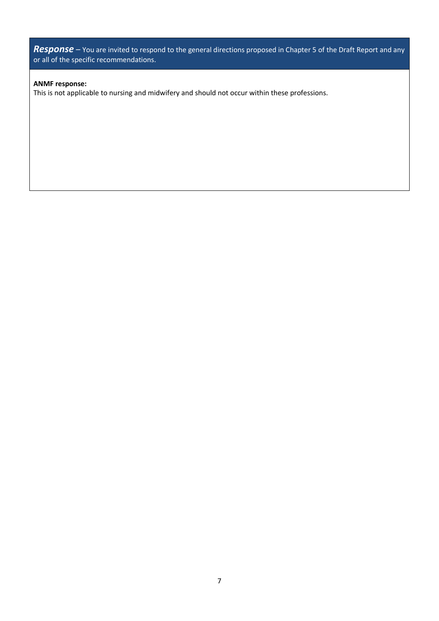*Response –* You are invited to respond to the general directions proposed in Chapter 5 of the Draft Report and any or all of the specific recommendations.

#### **ANMF response:**

This is not applicable to nursing and midwifery and should not occur within these professions.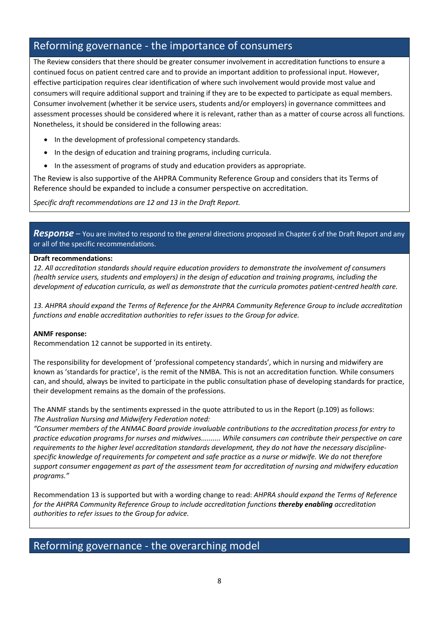# Reforming governance - the importance of consumers

The Review considers that there should be greater consumer involvement in accreditation functions to ensure a continued focus on patient centred care and to provide an important addition to professional input. However, effective participation requires clear identification of where such involvement would provide most value and consumers will require additional support and training if they are to be expected to participate as equal members. Consumer involvement (whether it be service users, students and/or employers) in governance committees and assessment processes should be considered where it is relevant, rather than as a matter of course across all functions. Nonetheless, it should be considered in the following areas:

- In the development of professional competency standards.
- In the design of education and training programs, including curricula.
- In the assessment of programs of study and education providers as appropriate.

The Review is also supportive of the AHPRA Community Reference Group and considers that its Terms of Reference should be expanded to include a consumer perspective on accreditation.

*Specific draft recommendations are 12 and 13 in the Draft Report.*

*Response –* You are invited to respond to the general directions proposed in Chapter 6 of the Draft Report and any or all of the specific recommendations.

#### **Draft recommendations:**

*12. All accreditation standards should require education providers to demonstrate the involvement of consumers (health service users, students and employers) in the design of education and training programs, including the development of education curricula, as well as demonstrate that the curricula promotes patient-centred health care.*

*13. AHPRA should expand the Terms of Reference for the AHPRA Community Reference Group to include accreditation functions and enable accreditation authorities to refer issues to the Group for advice.*

#### **ANMF response:**

Recommendation 12 cannot be supported in its entirety.

The responsibility for development of 'professional competency standards', which in nursing and midwifery are known as 'standards for practice', is the remit of the NMBA. This is not an accreditation function. While consumers can, and should, always be invited to participate in the public consultation phase of developing standards for practice, their development remains as the domain of the professions.

The ANMF stands by the sentiments expressed in the quote attributed to us in the Report (p.109) as follows: *The Australian Nursing and Midwifery Federation noted:*

*"Consumer members of the ANMAC Board provide invaluable contributions to the accreditation process for entry to practice education programs for nurses and midwives.......... While consumers can contribute their perspective on care requirements to the higher level accreditation standards development, they do not have the necessary disciplinespecific knowledge of requirements for competent and safe practice as a nurse or midwife. We do not therefore support consumer engagement as part of the assessment team for accreditation of nursing and midwifery education programs."*

Recommendation 13 is supported but with a wording change to read: *AHPRA should expand the Terms of Reference for the AHPRA Community Reference Group to include accreditation functions thereby enabling accreditation authorities to refer issues to the Group for advice.*

# Reforming governance - the overarching model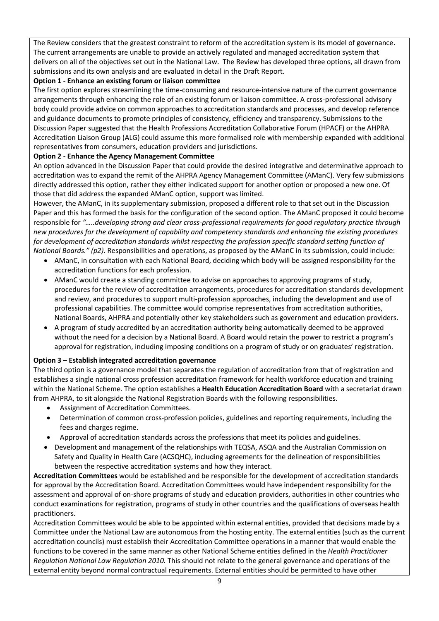The Review considers that the greatest constraint to reform of the accreditation system is its model of governance. The current arrangements are unable to provide an actively regulated and managed accreditation system that delivers on all of the objectives set out in the National Law. The Review has developed three options, all drawn from submissions and its own analysis and are evaluated in detail in the Draft Report.

# **Option 1 - Enhance an existing forum or liaison committee**

The first option explores streamlining the time-consuming and resource-intensive nature of the current governance arrangements through enhancing the role of an existing forum or liaison committee. A cross-professional advisory body could provide advice on common approaches to accreditation standards and processes, and develop reference and guidance documents to promote principles of consistency, efficiency and transparency. Submissions to the Discussion Paper suggested that the Health Professions Accreditation Collaborative Forum (HPACF) or the AHPRA Accreditation Liaison Group (ALG) could assume this more formalised role with membership expanded with additional representatives from consumers, education providers and jurisdictions.

# **Option 2 - Enhance the Agency Management Committee**

An option advanced in the Discussion Paper that could provide the desired integrative and determinative approach to accreditation was to expand the remit of the AHPRA Agency Management Committee (AManC). Very few submissions directly addressed this option, rather they either indicated support for another option or proposed a new one. Of those that did address the expanded AManC option, support was limited.

However, the AManC, in its supplementary submission, proposed a different role to that set out in the Discussion Paper and this has formed the basis for the configuration of the second option. The AManC proposed it could become responsible for *"…..developing strong and clear cross-professional requirements for good regulatory practice through new procedures for the development of capability and competency standards and enhancing the existing procedures for development of accreditation standards whilst respecting the profession specific standard setting function of National Boards." (p2).* Responsibilities and operations, as proposed by the AManC in its submission, could include:

- AManC, in consultation with each National Board, deciding which body will be assigned responsibility for the accreditation functions for each profession.
- AManC would create a standing committee to advise on approaches to approving programs of study, procedures for the review of accreditation arrangements, procedures for accreditation standards development and review, and procedures to support multi-profession approaches, including the development and use of professional capabilities. The committee would comprise representatives from accreditation authorities, National Boards, AHPRA and potentially other key stakeholders such as government and education providers.
- A program of study accredited by an accreditation authority being automatically deemed to be approved without the need for a decision by a National Board. A Board would retain the power to restrict a program's approval for registration, including imposing conditions on a program of study or on graduates' registration.

# **Option 3 – Establish integrated accreditation governance**

The third option is a governance model that separates the regulation of accreditation from that of registration and establishes a single national cross profession accreditation framework for health workforce education and training within the National Scheme. The option establishes a **Health Education Accreditation Board** with a secretariat drawn from AHPRA, to sit alongside the National Registration Boards with the following responsibilities.

- Assignment of Accreditation Committees.
- Determination of common cross-profession policies, guidelines and reporting requirements, including the fees and charges regime.
- Approval of accreditation standards across the professions that meet its policies and guidelines.
- Development and management of the relationships with TEQSA, ASQA and the Australian Commission on Safety and Quality in Health Care (ACSQHC), including agreements for the delineation of responsibilities between the respective accreditation systems and how they interact.

**Accreditation Committees** would be established and be responsible for the development of accreditation standards for approval by the Accreditation Board. Accreditation Committees would have independent responsibility for the assessment and approval of on-shore programs of study and education providers, authorities in other countries who conduct examinations for registration, programs of study in other countries and the qualifications of overseas health practitioners.

Accreditation Committees would be able to be appointed within external entities, provided that decisions made by a Committee under the National Law are autonomous from the hosting entity. The external entities (such as the current accreditation councils) must establish their Accreditation Committee operations in a manner that would enable the functions to be covered in the same manner as other National Scheme entities defined in the *Health Practitioner Regulation National Law Regulation 2010.* This should not relate to the general governance and operations of the external entity beyond normal contractual requirements. External entities should be permitted to have other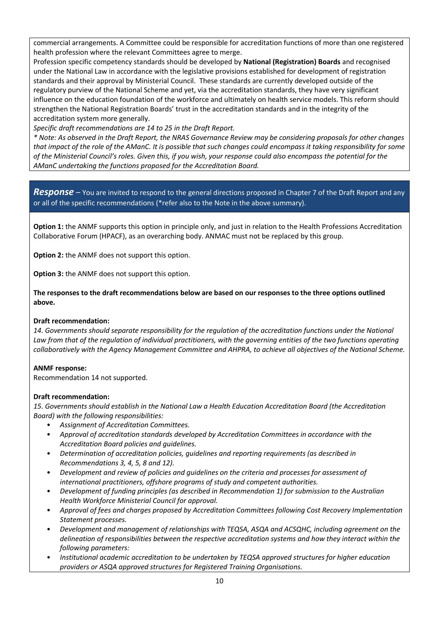commercial arrangements. A Committee could be responsible for accreditation functions of more than one registered health profession where the relevant Committees agree to merge.

Profession specific competency standards should be developed by **National (Registration) Boards** and recognised under the National Law in accordance with the legislative provisions established for development of registration standards and their approval by Ministerial Council. These standards are currently developed outside of the regulatory purview of the National Scheme and yet, via the accreditation standards, they have very significant influence on the education foundation of the workforce and ultimately on health service models. This reform should strengthen the National Registration Boards' trust in the accreditation standards and in the integrity of the accreditation system more generally.

*Specific draft recommendations are 14 to 25 in the Draft Report.*

*\* Note: As observed in the Draft Report, the NRAS Governance Review may be considering proposals for other changes that impact of the role of the AManC. It is possible that such changes could encompass it taking responsibility for some of the Ministerial Council's roles. Given this, if you wish, your response could also encompass the potential for the AManC undertaking the functions proposed for the Accreditation Board.* 

*Response* – You are invited to respond to the general directions proposed in Chapter 7 of the Draft Report and any or all of the specific recommendations (\*refer also to the Note in the above summary).

**Option 1:** the ANMF supports this option in principle only, and just in relation to the Health Professions Accreditation Collaborative Forum (HPACF), as an overarching body. ANMAC must not be replaced by this group.

**Option 2:** the ANMF does not support this option.

**Option 3:** the ANMF does not support this option.

**The responses to the draft recommendations below are based on our responses to the three options outlined above.**

#### **Draft recommendation:**

14. Governments should separate responsibility for the regulation of the accreditation functions under the National Law from that of the regulation of individual practitioners, with the governing entities of the two functions operating *collaboratively with the Agency Management Committee and AHPRA, to achieve all objectives of the National Scheme.*

#### **ANMF response:**

Recommendation 14 not supported.

# **Draft recommendation:**

*15. Governments should establish in the National Law a Health Education Accreditation Board (the Accreditation Board) with the following responsibilities:*

- *Assignment of Accreditation Committees.*
- *Approval of accreditation standards developed by Accreditation Committees in accordance with the Accreditation Board policies and guidelines.*
- *Determination of accreditation policies, guidelines and reporting requirements (as described in Recommendations 3, 4, 5, 8 and 12).*
- *Development and review of policies and guidelines on the criteria and processes for assessment of international practitioners, offshore programs of study and competent authorities.*
- *Development of funding principles (as described in Recommendation 1) for submission to the Australian Health Workforce Ministerial Council for approval.*
- *Approval of fees and charges proposed by Accreditation Committees following Cost Recovery Implementation Statement processes.*
- *Development and management of relationships with TEQSA, ASQA and ACSQHC, including agreement on the delineation of responsibilities between the respective accreditation systems and how they interact within the following parameters:*
- *Institutional academic accreditation to be undertaken by TEQSA approved structures for higher education providers or ASQA approved structures for Registered Training Organisations.*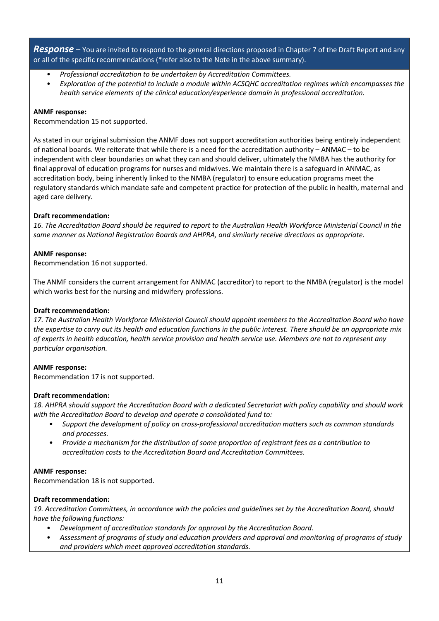*Response –* You are invited to respond to the general directions proposed in Chapter 7 of the Draft Report and any or all of the specific recommendations (\*refer also to the Note in the above summary).

- *Professional accreditation to be undertaken by Accreditation Committees.*
- *Exploration of the potential to include a module within ACSQHC accreditation regimes which encompasses the health service elements of the clinical education/experience domain in professional accreditation.*

#### **ANMF response:**

Recommendation 15 not supported.

As stated in our original submission the ANMF does not support accreditation authorities being entirely independent of national boards. We reiterate that while there is a need for the accreditation authority – ANMAC – to be independent with clear boundaries on what they can and should deliver, ultimately the NMBA has the authority for final approval of education programs for nurses and midwives. We maintain there is a safeguard in ANMAC, as accreditation body, being inherently linked to the NMBA (regulator) to ensure education programs meet the regulatory standards which mandate safe and competent practice for protection of the public in health, maternal and aged care delivery.

#### **Draft recommendation:**

*16. The Accreditation Board should be required to report to the Australian Health Workforce Ministerial Council in the same manner as National Registration Boards and AHPRA, and similarly receive directions as appropriate.*

#### **ANMF response:**

Recommendation 16 not supported.

The ANMF considers the current arrangement for ANMAC (accreditor) to report to the NMBA (regulator) is the model which works best for the nursing and midwifery professions.

#### **Draft recommendation:**

*17. The Australian Health Workforce Ministerial Council should appoint members to the Accreditation Board who have the expertise to carry out its health and education functions in the public interest. There should be an appropriate mix of experts in health education, health service provision and health service use. Members are not to represent any particular organisation.*

#### **ANMF response:**

Recommendation 17 is not supported.

#### **Draft recommendation:**

*18. AHPRA should support the Accreditation Board with a dedicated Secretariat with policy capability and should work with the Accreditation Board to develop and operate a consolidated fund to:*

- *Support the development of policy on cross-professional accreditation matters such as common standards and processes.*
- *Provide a mechanism for the distribution of some proportion of registrant fees as a contribution to accreditation costs to the Accreditation Board and Accreditation Committees.*

#### **ANMF response:**

Recommendation 18 is not supported.

#### **Draft recommendation:**

*19. Accreditation Committees, in accordance with the policies and guidelines set by the Accreditation Board, should have the following functions:*

- *Development of accreditation standards for approval by the Accreditation Board.*
- *Assessment of programs of study and education providers and approval and monitoring of programs of study and providers which meet approved accreditation standards.*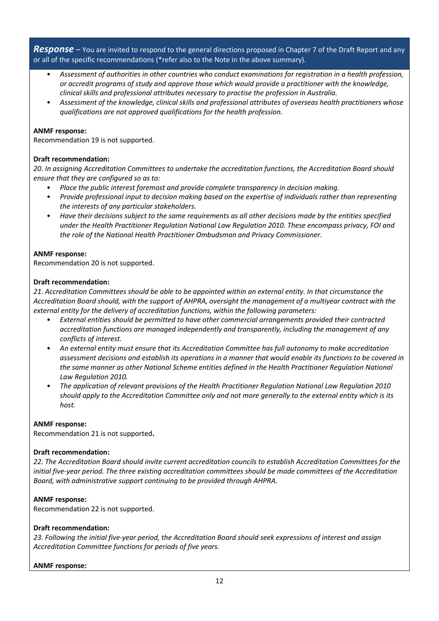*Response –* You are invited to respond to the general directions proposed in Chapter 7 of the Draft Report and any or all of the specific recommendations (\*refer also to the Note in the above summary).

- *Assessment of authorities in other countries who conduct examinations for registration in a health profession, or accredit programs of study and approve those which would provide a practitioner with the knowledge, clinical skills and professional attributes necessary to practise the profession in Australia.*
- *Assessment of the knowledge, clinical skills and professional attributes of overseas health practitioners whose qualifications are not approved qualifications for the health profession.*

#### **ANMF response:**

Recommendation 19 is not supported.

#### **Draft recommendation:**

*20. In assigning Accreditation Committees to undertake the accreditation functions, the Accreditation Board should ensure that they are configured so as to:*

- *Place the public interest foremost and provide complete transparency in decision making.*
- *Provide professional input to decision making based on the expertise of individuals rather than representing the interests of any particular stakeholders.*
- *Have their decisions subject to the same requirements as all other decisions made by the entities specified under the Health Practitioner Regulation National Law Regulation 2010. These encompass privacy, FOI and the role of the National Health Practitioner Ombudsman and Privacy Commissioner.*

#### **ANMF response:**

Recommendation 20 is not supported.

#### **Draft recommendation:**

*21. Accreditation Committees should be able to be appointed within an external entity. In that circumstance the Accreditation Board should, with the support of AHPRA, oversight the management of a multiyear contract with the external entity for the delivery of accreditation functions, within the following parameters:*

- *External entities should be permitted to have other commercial arrangements provided their contracted accreditation functions are managed independently and transparently, including the management of any conflicts of interest.*
- *An external entity must ensure that its Accreditation Committee has full autonomy to make accreditation assessment decisions and establish its operations in a manner that would enable its functions to be covered in the same manner as other National Scheme entities defined in the Health Practitioner Regulation National Law Regulation 2010.*
- *The application of relevant provisions of the Health Practitioner Regulation National Law Regulation 2010 should apply to the Accreditation Committee only and not more generally to the external entity which is its host.*

#### **ANMF response:**

Recommendation 21 is not supported**.**

#### **Draft recommendation:**

*22. The Accreditation Board should invite current accreditation councils to establish Accreditation Committees for the initial five-year period. The three existing accreditation committees should be made committees of the Accreditation Board, with administrative support continuing to be provided through AHPRA.*

#### **ANMF response:**

Recommendation 22 is not supported.

#### **Draft recommendation:**

*23. Following the initial five-year period, the Accreditation Board should seek expressions of interest and assign Accreditation Committee functions for periods of five years.*

#### **ANMF response:**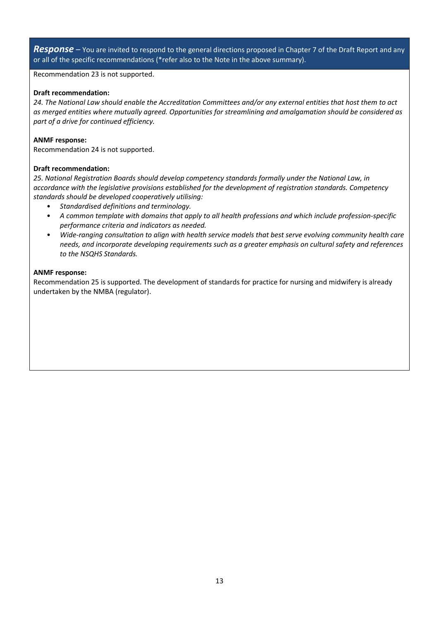*Response –* You are invited to respond to the general directions proposed in Chapter 7 of the Draft Report and any or all of the specific recommendations (\*refer also to the Note in the above summary).

Recommendation 23 is not supported.

#### **Draft recommendation:**

*24. The National Law should enable the Accreditation Committees and/or any external entities that host them to act as merged entities where mutually agreed. Opportunities for streamlining and amalgamation should be considered as part of a drive for continued efficiency.*

#### **ANMF response:**

Recommendation 24 is not supported.

#### **Draft recommendation:**

*25. National Registration Boards should develop competency standards formally under the National Law, in accordance with the legislative provisions established for the development of registration standards. Competency standards should be developed cooperatively utilising:*

- *Standardised definitions and terminology.*
- *A common template with domains that apply to all health professions and which include profession-specific performance criteria and indicators as needed.*
- *Wide-ranging consultation to align with health service models that best serve evolving community health care needs, and incorporate developing requirements such as a greater emphasis on cultural safety and references to the NSQHS Standards.*

#### **ANMF response:**

Recommendation 25 is supported. The development of standards for practice for nursing and midwifery is already undertaken by the NMBA (regulator).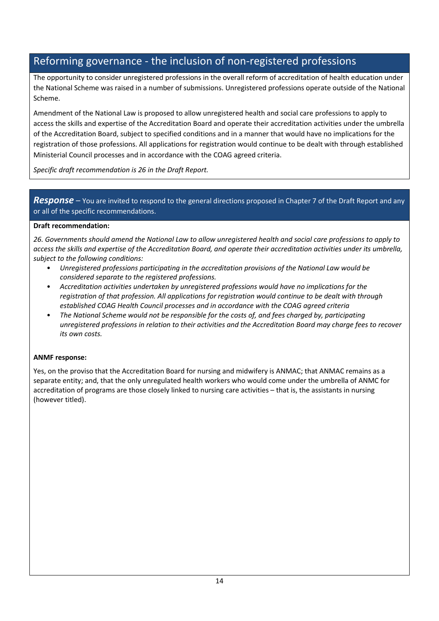# Reforming governance - the inclusion of non-registered professions

The opportunity to consider unregistered professions in the overall reform of accreditation of health education under the National Scheme was raised in a number of submissions. Unregistered professions operate outside of the National Scheme.

Amendment of the National Law is proposed to allow unregistered health and social care professions to apply to access the skills and expertise of the Accreditation Board and operate their accreditation activities under the umbrella of the Accreditation Board, subject to specified conditions and in a manner that would have no implications for the registration of those professions. All applications for registration would continue to be dealt with through established Ministerial Council processes and in accordance with the COAG agreed criteria.

*Specific draft recommendation is 26 in the Draft Report.*

# *Response –* You are invited to respond to the general directions proposed in Chapter 7 of the Draft Report and any or all of the specific recommendations.

# **Draft recommendation:**

*26. Governments should amend the National Law to allow unregistered health and social care professions to apply to access the skills and expertise of the Accreditation Board, and operate their accreditation activities under its umbrella, subject to the following conditions:*

- *Unregistered professions participating in the accreditation provisions of the National Law would be considered separate to the registered professions.*
- *Accreditation activities undertaken by unregistered professions would have no implications for the registration of that profession. All applications for registration would continue to be dealt with through established COAG Health Council processes and in accordance with the COAG agreed criteria*
- *The National Scheme would not be responsible for the costs of, and fees charged by, participating unregistered professions in relation to their activities and the Accreditation Board may charge fees to recover its own costs.*

# **ANMF response:**

Yes, on the proviso that the Accreditation Board for nursing and midwifery is ANMAC; that ANMAC remains as a separate entity; and, that the only unregulated health workers who would come under the umbrella of ANMC for accreditation of programs are those closely linked to nursing care activities – that is, the assistants in nursing (however titled).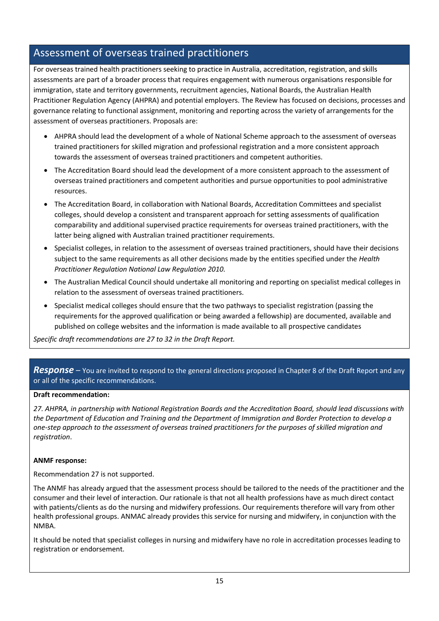# Assessment of overseas trained practitioners

For overseas trained health practitioners seeking to practice in Australia, accreditation, registration, and skills assessments are part of a broader process that requires engagement with numerous organisations responsible for immigration, state and territory governments, recruitment agencies, National Boards, the Australian Health Practitioner Regulation Agency (AHPRA) and potential employers. The Review has focused on decisions, processes and governance relating to functional assignment, monitoring and reporting across the variety of arrangements for the assessment of overseas practitioners. Proposals are:

- AHPRA should lead the development of a whole of National Scheme approach to the assessment of overseas trained practitioners for skilled migration and professional registration and a more consistent approach towards the assessment of overseas trained practitioners and competent authorities.
- The Accreditation Board should lead the development of a more consistent approach to the assessment of overseas trained practitioners and competent authorities and pursue opportunities to pool administrative resources.
- The Accreditation Board, in collaboration with National Boards, Accreditation Committees and specialist colleges, should develop a consistent and transparent approach for setting assessments of qualification comparability and additional supervised practice requirements for overseas trained practitioners, with the latter being aligned with Australian trained practitioner requirements.
- Specialist colleges, in relation to the assessment of overseas trained practitioners, should have their decisions subject to the same requirements as all other decisions made by the entities specified under the *Health Practitioner Regulation National Law Regulation 2010.*
- The Australian Medical Council should undertake all monitoring and reporting on specialist medical colleges in relation to the assessment of overseas trained practitioners.
- Specialist medical colleges should ensure that the two pathways to specialist registration (passing the requirements for the approved qualification or being awarded a fellowship) are documented, available and published on college websites and the information is made available to all prospective candidates

*Specific draft recommendations are 27 to 32 in the Draft Report.*

# *Response –* You are invited to respond to the general directions proposed in Chapter 8 of the Draft Report and any or all of the specific recommendations.

# **Draft recommendation:**

*27. AHPRA, in partnership with National Registration Boards and the Accreditation Board, should lead discussions with the Department of Education and Training and the Department of Immigration and Border Protection to develop a one-step approach to the assessment of overseas trained practitioners for the purposes of skilled migration and registration*.

#### **ANMF response:**

Recommendation 27 is not supported.

The ANMF has already argued that the assessment process should be tailored to the needs of the practitioner and the consumer and their level of interaction. Our rationale is that not all health professions have as much direct contact with patients/clients as do the nursing and midwifery professions. Our requirements therefore will vary from other health professional groups. ANMAC already provides this service for nursing and midwifery, in conjunction with the NMBA.

It should be noted that specialist colleges in nursing and midwifery have no role in accreditation processes leading to registration or endorsement.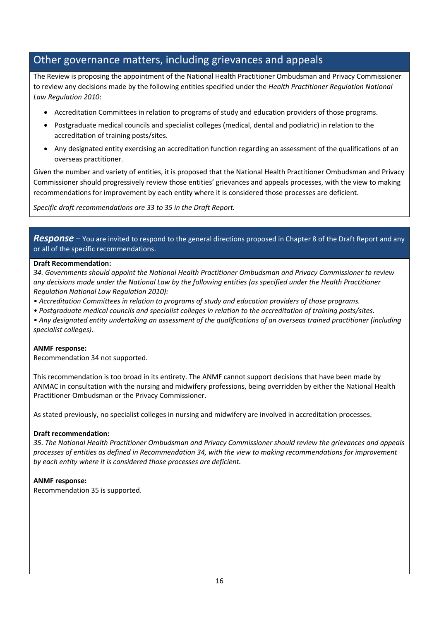# Other governance matters, including grievances and appeals

The Review is proposing the appointment of the National Health Practitioner Ombudsman and Privacy Commissioner to review any decisions made by the following entities specified under the *Health Practitioner Regulation National Law Regulation 2010*:

- Accreditation Committees in relation to programs of study and education providers of those programs.
- Postgraduate medical councils and specialist colleges (medical, dental and podiatric) in relation to the accreditation of training posts/sites.
- Any designated entity exercising an accreditation function regarding an assessment of the qualifications of an overseas practitioner.

Given the number and variety of entities, it is proposed that the National Health Practitioner Ombudsman and Privacy Commissioner should progressively review those entities' grievances and appeals processes, with the view to making recommendations for improvement by each entity where it is considered those processes are deficient.

*Specific draft recommendations are 33 to 35 in the Draft Report.*

*Response –* You are invited to respond to the general directions proposed in Chapter 8 of the Draft Report and any or all of the specific recommendations.

# **Draft Recommendation:**

*34. Governments should appoint the National Health Practitioner Ombudsman and Privacy Commissioner to review any decisions made under the National Law by the following entities (as specified under the Health Practitioner Regulation National Law Regulation 2010):*

- *Accreditation Committees in relation to programs of study and education providers of those programs.*
- *Postgraduate medical councils and specialist colleges in relation to the accreditation of training posts/sites.*

*• Any designated entity undertaking an assessment of the qualifications of an overseas trained practitioner (including specialist colleges).*

# **ANMF response:**

Recommendation 34 not supported.

This recommendation is too broad in its entirety. The ANMF cannot support decisions that have been made by ANMAC in consultation with the nursing and midwifery professions, being overridden by either the National Health Practitioner Ombudsman or the Privacy Commissioner.

As stated previously, no specialist colleges in nursing and midwifery are involved in accreditation processes.

# **Draft recommendation:**

*35. The National Health Practitioner Ombudsman and Privacy Commissioner should review the grievances and appeals processes of entities as defined in Recommendation 34, with the view to making recommendations for improvement by each entity where it is considered those processes are deficient.*

# **ANMF response:**

Recommendation 35 is supported.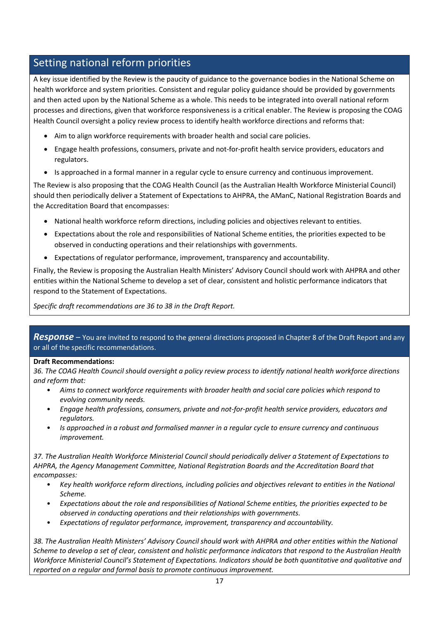# Setting national reform priorities

A key issue identified by the Review is the paucity of guidance to the governance bodies in the National Scheme on health workforce and system priorities. Consistent and regular policy guidance should be provided by governments and then acted upon by the National Scheme as a whole. This needs to be integrated into overall national reform processes and directions, given that workforce responsiveness is a critical enabler. The Review is proposing the COAG Health Council oversight a policy review process to identify health workforce directions and reforms that:

- Aim to align workforce requirements with broader health and social care policies.
- Engage health professions, consumers, private and not-for-profit health service providers, educators and regulators.
- Is approached in a formal manner in a regular cycle to ensure currency and continuous improvement.

The Review is also proposing that the COAG Health Council (as the Australian Health Workforce Ministerial Council) should then periodically deliver a Statement of Expectations to AHPRA, the AManC, National Registration Boards and the Accreditation Board that encompasses:

- National health workforce reform directions, including policies and objectives relevant to entities.
- Expectations about the role and responsibilities of National Scheme entities, the priorities expected to be observed in conducting operations and their relationships with governments.
- Expectations of regulator performance, improvement, transparency and accountability.

Finally, the Review is proposing the Australian Health Ministers' Advisory Council should work with AHPRA and other entities within the National Scheme to develop a set of clear, consistent and holistic performance indicators that respond to the Statement of Expectations.

*Specific draft recommendations are 36 to 38 in the Draft Report.*

*Response –* You are invited to respond to the general directions proposed in Chapter 8 of the Draft Report and any or all of the specific recommendations.

# **Draft Recommendations:**

*36. The COAG Health Council should oversight a policy review process to identify national health workforce directions and reform that:*

- *Aims to connect workforce requirements with broader health and social care policies which respond to evolving community needs.*
- *Engage health professions, consumers, private and not-for-profit health service providers, educators and regulators.*
- *Is approached in a robust and formalised manner in a regular cycle to ensure currency and continuous improvement.*

*37. The Australian Health Workforce Ministerial Council should periodically deliver a Statement of Expectations to AHPRA, the Agency Management Committee, National Registration Boards and the Accreditation Board that encompasses:*

- *Key health workforce reform directions, including policies and objectives relevant to entities in the National Scheme.*
- *Expectations about the role and responsibilities of National Scheme entities, the priorities expected to be observed in conducting operations and their relationships with governments.*
- *Expectations of regulator performance, improvement, transparency and accountability.*

*38. The Australian Health Ministers' Advisory Council should work with AHPRA and other entities within the National Scheme to develop a set of clear, consistent and holistic performance indicators that respond to the Australian Health Workforce Ministerial Council's Statement of Expectations. Indicators should be both quantitative and qualitative and reported on a regular and formal basis to promote continuous improvement.*